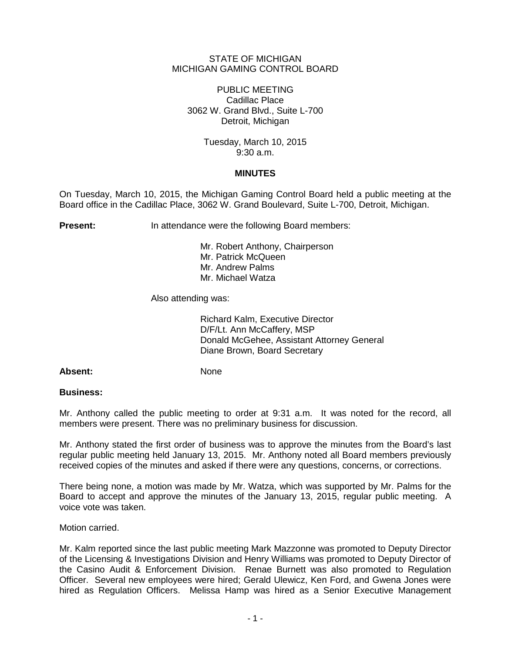## STATE OF MICHIGAN MICHIGAN GAMING CONTROL BOARD

PUBLIC MEETING Cadillac Place 3062 W. Grand Blvd., Suite L-700 Detroit, Michigan

> Tuesday, March 10, 2015 9:30 a.m.

## **MINUTES**

On Tuesday, March 10, 2015, the Michigan Gaming Control Board held a public meeting at the Board office in the Cadillac Place, 3062 W. Grand Boulevard, Suite L-700, Detroit, Michigan.

**Present:** In attendance were the following Board members:

Mr. Robert Anthony, Chairperson Mr. Patrick McQueen Mr. Andrew Palms Mr. Michael Watza

Also attending was:

Richard Kalm, Executive Director D/F/Lt. Ann McCaffery, MSP Donald McGehee, Assistant Attorney General Diane Brown, Board Secretary

Absent: None

# **Business:**

Mr. Anthony called the public meeting to order at 9:31 a.m. It was noted for the record, all members were present. There was no preliminary business for discussion.

Mr. Anthony stated the first order of business was to approve the minutes from the Board's last regular public meeting held January 13, 2015. Mr. Anthony noted all Board members previously received copies of the minutes and asked if there were any questions, concerns, or corrections.

There being none, a motion was made by Mr. Watza, which was supported by Mr. Palms for the Board to accept and approve the minutes of the January 13, 2015, regular public meeting. A voice vote was taken.

Motion carried.

Mr. Kalm reported since the last public meeting Mark Mazzonne was promoted to Deputy Director of the Licensing & Investigations Division and Henry Williams was promoted to Deputy Director of the Casino Audit & Enforcement Division. Renae Burnett was also promoted to Regulation Officer. Several new employees were hired; Gerald Ulewicz, Ken Ford, and Gwena Jones were hired as Regulation Officers. Melissa Hamp was hired as a Senior Executive Management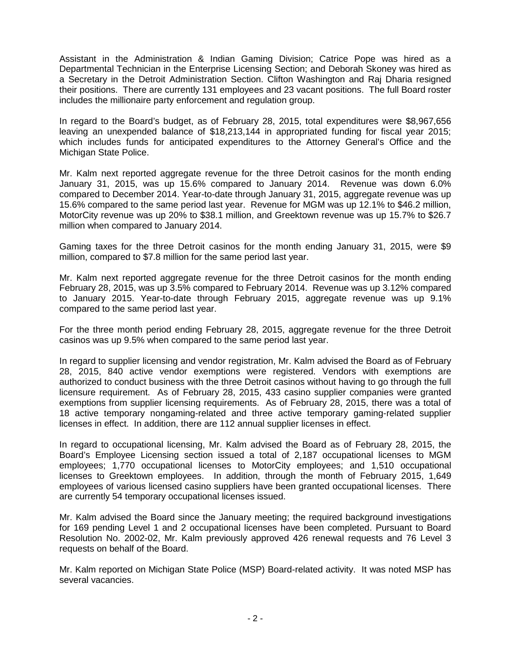Assistant in the Administration & Indian Gaming Division; Catrice Pope was hired as a Departmental Technician in the Enterprise Licensing Section; and Deborah Skoney was hired as a Secretary in the Detroit Administration Section. Clifton Washington and Raj Dharia resigned their positions. There are currently 131 employees and 23 vacant positions. The full Board roster includes the millionaire party enforcement and regulation group.

In regard to the Board's budget, as of February 28, 2015, total expenditures were \$8,967,656 leaving an unexpended balance of \$18,213,144 in appropriated funding for fiscal year 2015; which includes funds for anticipated expenditures to the Attorney General's Office and the Michigan State Police.

Mr. Kalm next reported aggregate revenue for the three Detroit casinos for the month ending January 31, 2015, was up 15.6% compared to January 2014. Revenue was down 6.0% compared to December 2014. Year-to-date through January 31, 2015, aggregate revenue was up 15.6% compared to the same period last year. Revenue for MGM was up 12.1% to \$46.2 million, MotorCity revenue was up 20% to \$38.1 million, and Greektown revenue was up 15.7% to \$26.7 million when compared to January 2014.

Gaming taxes for the three Detroit casinos for the month ending January 31, 2015, were \$9 million, compared to \$7.8 million for the same period last year.

Mr. Kalm next reported aggregate revenue for the three Detroit casinos for the month ending February 28, 2015, was up 3.5% compared to February 2014. Revenue was up 3.12% compared to January 2015. Year-to-date through February 2015, aggregate revenue was up 9.1% compared to the same period last year.

For the three month period ending February 28, 2015, aggregate revenue for the three Detroit casinos was up 9.5% when compared to the same period last year.

In regard to supplier licensing and vendor registration, Mr. Kalm advised the Board as of February 28, 2015, 840 active vendor exemptions were registered. Vendors with exemptions are authorized to conduct business with the three Detroit casinos without having to go through the full licensure requirement. As of February 28, 2015, 433 casino supplier companies were granted exemptions from supplier licensing requirements. As of February 28, 2015, there was a total of 18 active temporary nongaming-related and three active temporary gaming-related supplier licenses in effect. In addition, there are 112 annual supplier licenses in effect.

In regard to occupational licensing, Mr. Kalm advised the Board as of February 28, 2015, the Board's Employee Licensing section issued a total of 2,187 occupational licenses to MGM employees; 1,770 occupational licenses to MotorCity employees; and 1,510 occupational licenses to Greektown employees. In addition, through the month of February 2015, 1,649 employees of various licensed casino suppliers have been granted occupational licenses. There are currently 54 temporary occupational licenses issued.

Mr. Kalm advised the Board since the January meeting; the required background investigations for 169 pending Level 1 and 2 occupational licenses have been completed. Pursuant to Board Resolution No. 2002-02, Mr. Kalm previously approved 426 renewal requests and 76 Level 3 requests on behalf of the Board.

Mr. Kalm reported on Michigan State Police (MSP) Board-related activity. It was noted MSP has several vacancies.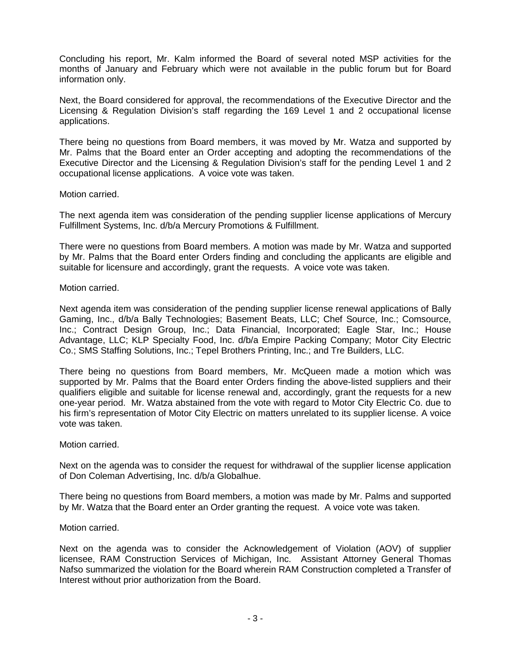Concluding his report, Mr. Kalm informed the Board of several noted MSP activities for the months of January and February which were not available in the public forum but for Board information only.

Next, the Board considered for approval, the recommendations of the Executive Director and the Licensing & Regulation Division's staff regarding the 169 Level 1 and 2 occupational license applications.

There being no questions from Board members, it was moved by Mr. Watza and supported by Mr. Palms that the Board enter an Order accepting and adopting the recommendations of the Executive Director and the Licensing & Regulation Division's staff for the pending Level 1 and 2 occupational license applications. A voice vote was taken.

## Motion carried.

The next agenda item was consideration of the pending supplier license applications of Mercury Fulfillment Systems, Inc. d/b/a Mercury Promotions & Fulfillment.

There were no questions from Board members. A motion was made by Mr. Watza and supported by Mr. Palms that the Board enter Orders finding and concluding the applicants are eligible and suitable for licensure and accordingly, grant the requests. A voice vote was taken.

## Motion carried.

Next agenda item was consideration of the pending supplier license renewal applications of Bally Gaming, Inc., d/b/a Bally Technologies; Basement Beats, LLC; Chef Source, Inc.; Comsource, Inc.; Contract Design Group, Inc.; Data Financial, Incorporated; Eagle Star, Inc.; House Advantage, LLC; KLP Specialty Food, Inc. d/b/a Empire Packing Company; Motor City Electric Co.; SMS Staffing Solutions, Inc.; Tepel Brothers Printing, Inc.; and Tre Builders, LLC.

There being no questions from Board members, Mr. McQueen made a motion which was supported by Mr. Palms that the Board enter Orders finding the above-listed suppliers and their qualifiers eligible and suitable for license renewal and, accordingly, grant the requests for a new one-year period. Mr. Watza abstained from the vote with regard to Motor City Electric Co. due to his firm's representation of Motor City Electric on matters unrelated to its supplier license. A voice vote was taken.

#### Motion carried.

Next on the agenda was to consider the request for withdrawal of the supplier license application of Don Coleman Advertising, Inc. d/b/a Globalhue.

There being no questions from Board members, a motion was made by Mr. Palms and supported by Mr. Watza that the Board enter an Order granting the request. A voice vote was taken.

#### Motion carried.

Next on the agenda was to consider the Acknowledgement of Violation (AOV) of supplier licensee, RAM Construction Services of Michigan, Inc. Assistant Attorney General Thomas Nafso summarized the violation for the Board wherein RAM Construction completed a Transfer of Interest without prior authorization from the Board.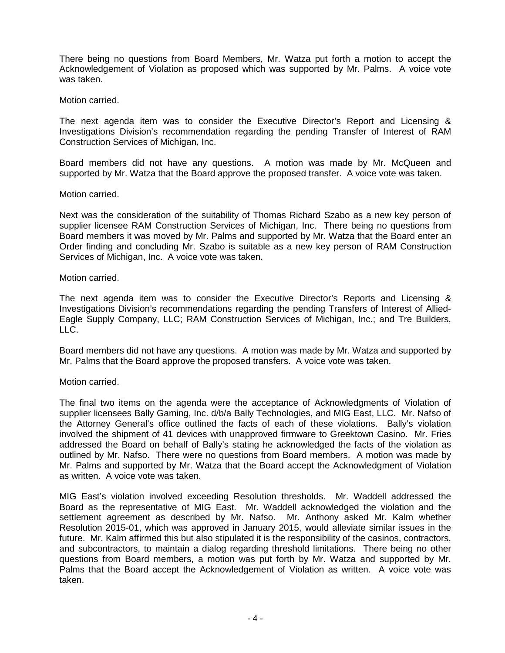There being no questions from Board Members, Mr. Watza put forth a motion to accept the Acknowledgement of Violation as proposed which was supported by Mr. Palms. A voice vote was taken.

Motion carried.

The next agenda item was to consider the Executive Director's Report and Licensing & Investigations Division's recommendation regarding the pending Transfer of Interest of RAM Construction Services of Michigan, Inc.

Board members did not have any questions. A motion was made by Mr. McQueen and supported by Mr. Watza that the Board approve the proposed transfer. A voice vote was taken.

## Motion carried.

Next was the consideration of the suitability of Thomas Richard Szabo as a new key person of supplier licensee RAM Construction Services of Michigan, Inc. There being no questions from Board members it was moved by Mr. Palms and supported by Mr. Watza that the Board enter an Order finding and concluding Mr. Szabo is suitable as a new key person of RAM Construction Services of Michigan, Inc. A voice vote was taken.

## Motion carried.

The next agenda item was to consider the Executive Director's Reports and Licensing & Investigations Division's recommendations regarding the pending Transfers of Interest of Allied-Eagle Supply Company, LLC; RAM Construction Services of Michigan, Inc.; and Tre Builders, LLC.

Board members did not have any questions. A motion was made by Mr. Watza and supported by Mr. Palms that the Board approve the proposed transfers. A voice vote was taken.

# Motion carried.

The final two items on the agenda were the acceptance of Acknowledgments of Violation of supplier licensees Bally Gaming, Inc. d/b/a Bally Technologies, and MIG East, LLC. Mr. Nafso of the Attorney General's office outlined the facts of each of these violations. Bally's violation involved the shipment of 41 devices with unapproved firmware to Greektown Casino. Mr. Fries addressed the Board on behalf of Bally's stating he acknowledged the facts of the violation as outlined by Mr. Nafso. There were no questions from Board members. A motion was made by Mr. Palms and supported by Mr. Watza that the Board accept the Acknowledgment of Violation as written. A voice vote was taken.

MIG East's violation involved exceeding Resolution thresholds. Mr. Waddell addressed the Board as the representative of MIG East. Mr. Waddell acknowledged the violation and the settlement agreement as described by Mr. Nafso. Mr. Anthony asked Mr. Kalm whether Resolution 2015-01, which was approved in January 2015, would alleviate similar issues in the future. Mr. Kalm affirmed this but also stipulated it is the responsibility of the casinos, contractors, and subcontractors, to maintain a dialog regarding threshold limitations. There being no other questions from Board members, a motion was put forth by Mr. Watza and supported by Mr. Palms that the Board accept the Acknowledgement of Violation as written. A voice vote was taken.